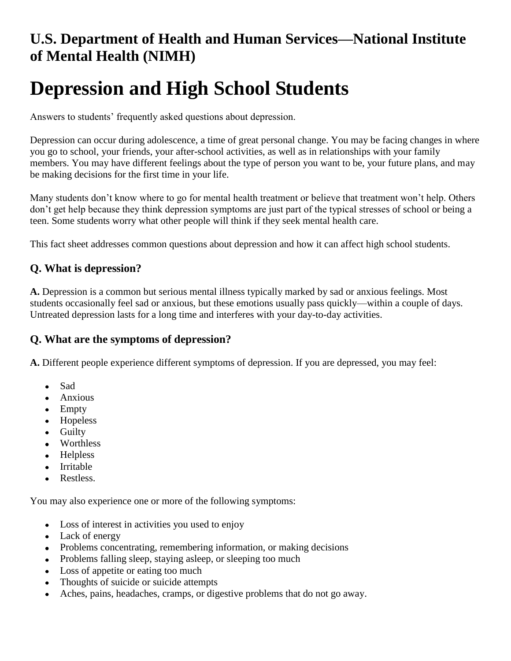## **U.S. Department of Health and Human Services—National Institute of Mental Health (NIMH)**

# **Depression and High School Students**

Answers to students' frequently asked questions about depression.

Depression can occur during adolescence, a time of great personal change. You may be facing changes in where you go to school, your friends, your after-school activities, as well as in relationships with your family members. You may have different feelings about the type of person you want to be, your future plans, and may be making decisions for the first time in your life.

Many students don't know where to go for mental health treatment or believe that treatment won't help. Others don't get help because they think depression symptoms are just part of the typical stresses of school or being a teen. Some students worry what other people will think if they seek mental health care.

This fact sheet addresses common questions about depression and how it can affect high school students.

#### **Q. What is depression?**

**A.** Depression is a common but serious mental illness typically marked by sad or anxious feelings. Most students occasionally feel sad or anxious, but these emotions usually pass quickly—within a couple of days. Untreated depression lasts for a long time and interferes with your day-to-day activities.

#### **Q. What are the symptoms of depression?**

**A.** Different people experience different symptoms of depression. If you are depressed, you may feel:

- Sad  $\bullet$
- Anxious
- $\bullet$  Empty
- Hopeless
- Guilty
- Worthless
- Helpless
- Irritable
- Restless.

You may also experience one or more of the following symptoms:

- Loss of interest in activities you used to enjoy
- Lack of energy
- Problems concentrating, remembering information, or making decisions
- Problems falling sleep, staying asleep, or sleeping too much
- Loss of appetite or eating too much
- Thoughts of suicide or suicide attempts
- Aches, pains, headaches, cramps, or digestive problems that do not go away.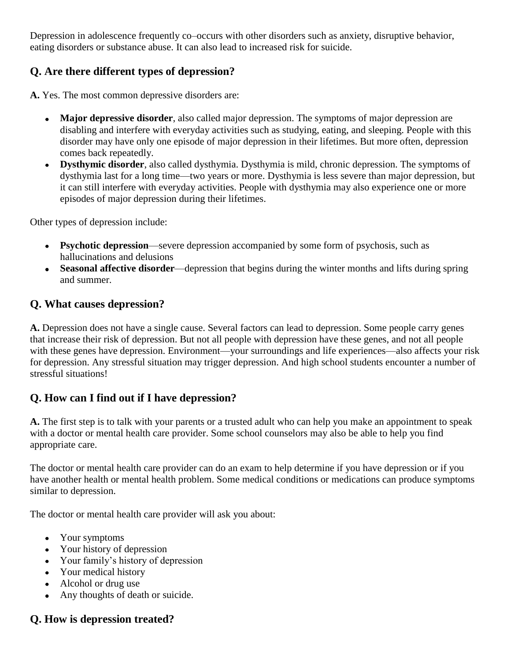Depression in adolescence frequently co–occurs with other disorders such as anxiety, disruptive behavior, eating disorders or substance abuse. It can also lead to increased risk for suicide.

#### **Q. Are there different types of depression?**

**A.** Yes. The most common depressive disorders are:

- **Major depressive disorder**, also called major depression. The symptoms of major depression are disabling and interfere with everyday activities such as studying, eating, and sleeping. People with this disorder may have only one episode of major depression in their lifetimes. But more often, depression comes back repeatedly.
- **Dysthymic disorder**, also called dysthymia. Dysthymia is mild, chronic depression. The symptoms of  $\bullet$ dysthymia last for a long time—two years or more. Dysthymia is less severe than major depression, but it can still interfere with everyday activities. People with dysthymia may also experience one or more episodes of major depression during their lifetimes.

Other types of depression include:

- **Psychotic depression**—severe depression accompanied by some form of psychosis, such as hallucinations and delusions
- **Seasonal affective disorder**—depression that begins during the winter months and lifts during spring and summer.

#### **Q. What causes depression?**

**A.** Depression does not have a single cause. Several factors can lead to depression. Some people carry genes that increase their risk of depression. But not all people with depression have these genes, and not all people with these genes have depression. Environment—your surroundings and life experiences—also affects your risk for depression. Any stressful situation may trigger depression. And high school students encounter a number of stressful situations!

#### **Q. How can I find out if I have depression?**

**A.** The first step is to talk with your parents or a trusted adult who can help you make an appointment to speak with a doctor or mental health care provider. Some school counselors may also be able to help you find appropriate care.

The doctor or mental health care provider can do an exam to help determine if you have depression or if you have another health or mental health problem. Some medical conditions or medications can produce symptoms similar to depression.

The doctor or mental health care provider will ask you about:

- Your symptoms
- Your history of depression  $\bullet$
- Your family's history of depression
- Your medical history
- Alcohol or drug use
- Any thoughts of death or suicide.

#### **Q. How is depression treated?**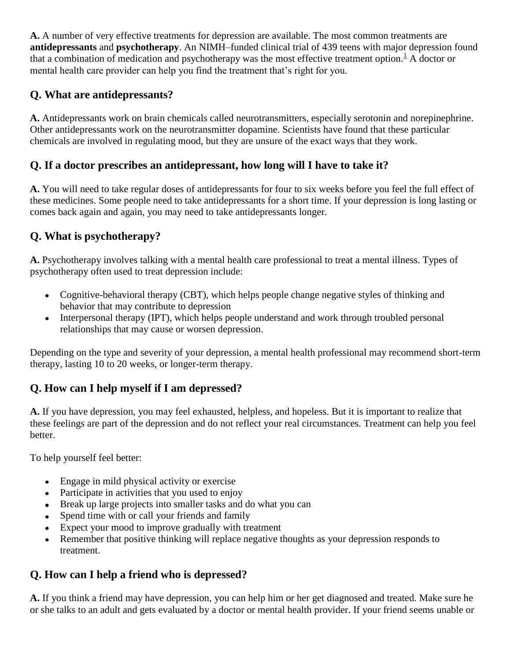**A.** A number of very effective treatments for depression are available. The most common treatments are **antidepressants** and **psychotherapy**. An NIMH–funded clinical trial of 439 teens with major depression found that a combination of medication and psychotherapy was the most effective treatment option[.](http://www.nimh.nih.gov/health/publications/depression-and-high-school-students/depression-and-high-school-students.shtml#ftn1#ftn1)<sup>1</sup> A doctor or mental health care provider can help you find the treatment that's right for you.

#### **Q. What are antidepressants?**

**A.** Antidepressants work on brain chemicals called neurotransmitters, especially serotonin and norepinephrine. Other antidepressants work on the neurotransmitter dopamine. Scientists have found that these particular chemicals are involved in regulating mood, but they are unsure of the exact ways that they work.

#### **Q. If a doctor prescribes an antidepressant, how long will I have to take it?**

**A.** You will need to take regular doses of antidepressants for four to six weeks before you feel the full effect of these medicines. Some people need to take antidepressants for a short time. If your depression is long lasting or comes back again and again, you may need to take antidepressants longer.

#### **Q. What is psychotherapy?**

**A.** Psychotherapy involves talking with a mental health care professional to treat a mental illness. Types of psychotherapy often used to treat depression include:

- Cognitive-behavioral therapy (CBT), which helps people change negative styles of thinking and behavior that may contribute to depression
- Interpersonal therapy (IPT), which helps people understand and work through troubled personal  $\bullet$ relationships that may cause or worsen depression.

Depending on the type and severity of your depression, a mental health professional may recommend short-term therapy, lasting 10 to 20 weeks, or longer-term therapy.

#### **Q. How can I help myself if I am depressed?**

**A.** If you have depression, you may feel exhausted, helpless, and hopeless. But it is important to realize that these feelings are part of the depression and do not reflect your real circumstances. Treatment can help you feel better.

To help yourself feel better:

- Engage in mild physical activity or exercise
- Participate in activities that you used to enjoy
- Break up large projects into smaller tasks and do what you can
- Spend time with or call your friends and family  $\bullet$
- Expect your mood to improve gradually with treatment
- Remember that positive thinking will replace negative thoughts as your depression responds to treatment.

#### **Q. How can I help a friend who is depressed?**

**A.** If you think a friend may have depression, you can help him or her get diagnosed and treated. Make sure he or she talks to an adult and gets evaluated by a doctor or mental health provider. If your friend seems unable or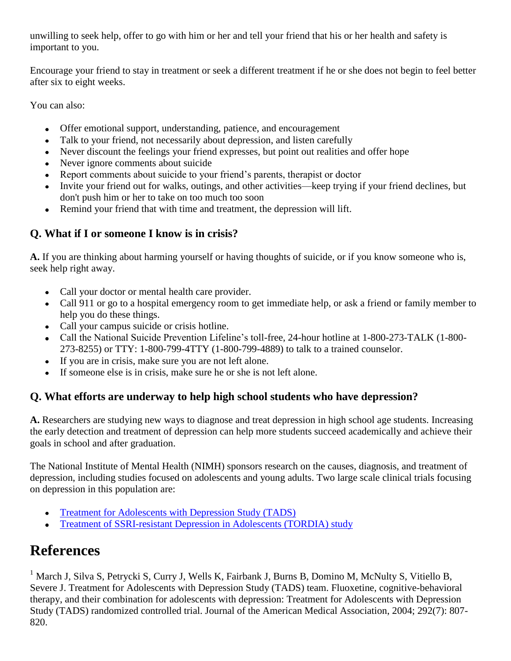unwilling to seek help, offer to go with him or her and tell your friend that his or her health and safety is important to you.

Encourage your friend to stay in treatment or seek a different treatment if he or she does not begin to feel better after six to eight weeks.

You can also:

- Offer emotional support, understanding, patience, and encouragement  $\bullet$
- Talk to your friend, not necessarily about depression, and listen carefully
- Never discount the feelings your friend expresses, but point out realities and offer hope
- Never ignore comments about suicide
- Report comments about suicide to your friend's parents, therapist or doctor
- Invite your friend out for walks, outings, and other activities—keep trying if your friend declines, but don't push him or her to take on too much too soon
- Remind your friend that with time and treatment, the depression will lift.  $\bullet$

#### **Q. What if I or someone I know is in crisis?**

**A.** If you are thinking about harming yourself or having thoughts of suicide, or if you know someone who is, seek help right away.

- Call your doctor or mental health care provider.
- Call 911 or go to a hospital emergency room to get immediate help, or ask a friend or family member to help you do these things.
- Call your campus suicide or crisis hotline.
- Call the National Suicide Prevention Lifeline's toll-free, 24-hour hotline at 1-800-273-TALK (1-800- 273-8255) or TTY: 1-800-799-4TTY (1-800-799-4889) to talk to a trained counselor.
- If you are in crisis, make sure you are not left alone.
- If someone else is in crisis, make sure he or she is not left alone.

#### **Q. What efforts are underway to help high school students who have depression?**

**A.** Researchers are studying new ways to diagnose and treat depression in high school age students. Increasing the early detection and treatment of depression can help more students succeed academically and achieve their goals in school and after graduation.

The National Institute of Mental Health (NIMH) sponsors research on the causes, diagnosis, and treatment of depression, including studies focused on adolescents and young adults. Two large scale clinical trials focusing on depression in this population are:

- [Treatment for Adolescents with Depression Study \(TADS\)](http://www.nimh.nih.gov/trials/practical/tads/index.shtml)  $\bullet$
- [Treatment of SSRI-resistant Depression in Adolescents \(TORDIA\) study](http://www.nimh.nih.gov/trials/practical/tordia/treatment-of-ssri-resistant-depression-in-adolescents-tordia.shtml)

### **References**

<sup>1</sup> March J, Silva S, Petrycki S, Curry J, Wells K, Fairbank J, Burns B, Domino M, McNulty S, Vitiello B, Severe J. Treatment for Adolescents with Depression Study (TADS) team. Fluoxetine, cognitive-behavioral therapy, and their combination for adolescents with depression: Treatment for Adolescents with Depression Study (TADS) randomized controlled trial. Journal of the American Medical Association, 2004; 292(7): 807- 820.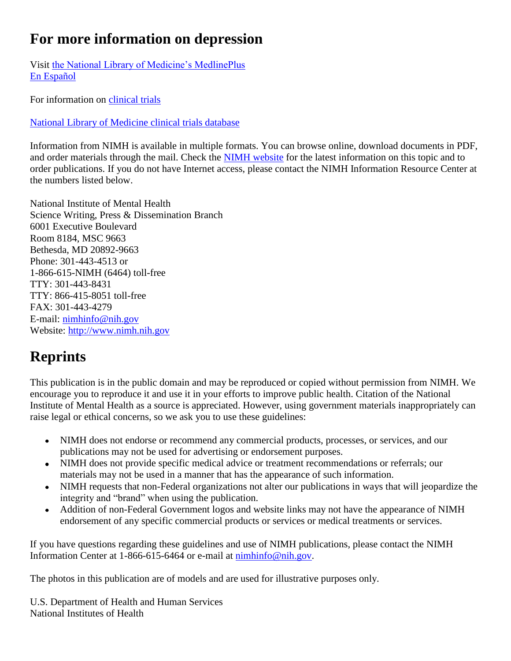### **For more information on depression**

Visit [the National Library of Medicine's MedlinePlus](http://medlineplus.gov/) [En Español](http://medlineplus.gov/spanish)

For information on [clinical trials](http://www.nimh.nih.gov/trials/index.shtml)

[National Library of Medicine clinical trials database](http://www.clinicaltrials.gov/)

Information from NIMH is available in multiple formats. You can browse online, download documents in PDF, and order materials through the mail. Check the [NIMH website](http://www.nimh.nih.gov/index.shtml) for the latest information on this topic and to order publications. If you do not have Internet access, please contact the NIMH Information Resource Center at the numbers listed below.

National Institute of Mental Health Science Writing, Press & Dissemination Branch 6001 Executive Boulevard Room 8184, MSC 9663 Bethesda, MD 20892-9663 Phone: 301-443-4513 or 1-866-615-NIMH (6464) toll-free TTY: 301-443-8431 TTY: 866-415-8051 toll-free FAX: 301-443-4279 E-mail: [nimhinfo@nih.gov](mailto:nimhinfo@nih.gov) Website: [http://www.nimh.nih.gov](http://www.nimh.nih.gov/)

# **Reprints**

This publication is in the public domain and may be reproduced or copied without permission from NIMH. We encourage you to reproduce it and use it in your efforts to improve public health. Citation of the National Institute of Mental Health as a source is appreciated. However, using government materials inappropriately can raise legal or ethical concerns, so we ask you to use these guidelines:

- NIMH does not endorse or recommend any commercial products, processes, or services, and our publications may not be used for advertising or endorsement purposes.
- NIMH does not provide specific medical advice or treatment recommendations or referrals; our materials may not be used in a manner that has the appearance of such information.
- NIMH requests that non-Federal organizations not alter our publications in ways that will jeopardize the integrity and "brand" when using the publication.
- Addition of non-Federal Government logos and website links may not have the appearance of NIMH endorsement of any specific commercial products or services or medical treatments or services.

If you have questions regarding these guidelines and use of NIMH publications, please contact the NIMH Information Center at 1-866-615-6464 or e-mail at [nimhinfo@nih.gov.](mailto:nimhinfo@nih.gov)

The photos in this publication are of models and are used for illustrative purposes only.

U.S. Department of Health and Human Services National Institutes of Health